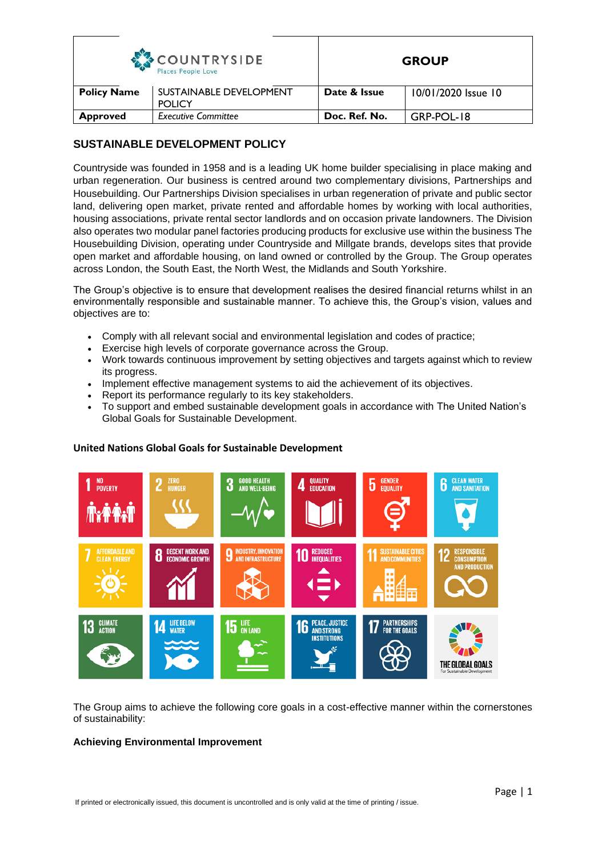| COUNTRYSIDE<br>Places People Love |                                          | <b>GROUP</b>  |                     |
|-----------------------------------|------------------------------------------|---------------|---------------------|
| <b>Policy Name</b>                | SUSTAINABLE DEVELOPMENT<br><b>POLICY</b> | Date & Issue  | 10/01/2020 Issue 10 |
| <b>Approved</b>                   | <b>Executive Committee</b>               | Doc. Ref. No. | GRP-POL-18          |

# **SUSTAINABLE DEVELOPMENT POLICY**

Countryside was founded in 1958 and is a leading UK home builder specialising in place making and urban regeneration. Our business is centred around two complementary divisions, Partnerships and Housebuilding. Our Partnerships Division specialises in urban regeneration of private and public sector land, delivering open market, private rented and affordable homes by working with local authorities. housing associations, private rental sector landlords and on occasion private landowners. The Division also operates two modular panel factories producing products for exclusive use within the business The Housebuilding Division, operating under Countryside and Millgate brands, develops sites that provide open market and affordable housing, on land owned or controlled by the Group. The Group operates across London, the South East, the North West, the Midlands and South Yorkshire.

The Group's objective is to ensure that development realises the desired financial returns whilst in an environmentally responsible and sustainable manner. To achieve this, the Group's vision, values and objectives are to:

- Comply with all relevant social and environmental legislation and codes of practice;
- Exercise high levels of corporate governance across the Group.
- Work towards continuous improvement by setting objectives and targets against which to review its progress.
- Implement effective management systems to aid the achievement of its objectives.
- Report its performance regularly to its key stakeholders.
- To support and embed sustainable development goals in accordance with The United Nation's Global Goals for Sustainable Development.

# **United Nations Global Goals for Sustainable Development**



The Group aims to achieve the following core goals in a cost-effective manner within the cornerstones of sustainability:

## **Achieving Environmental Improvement**